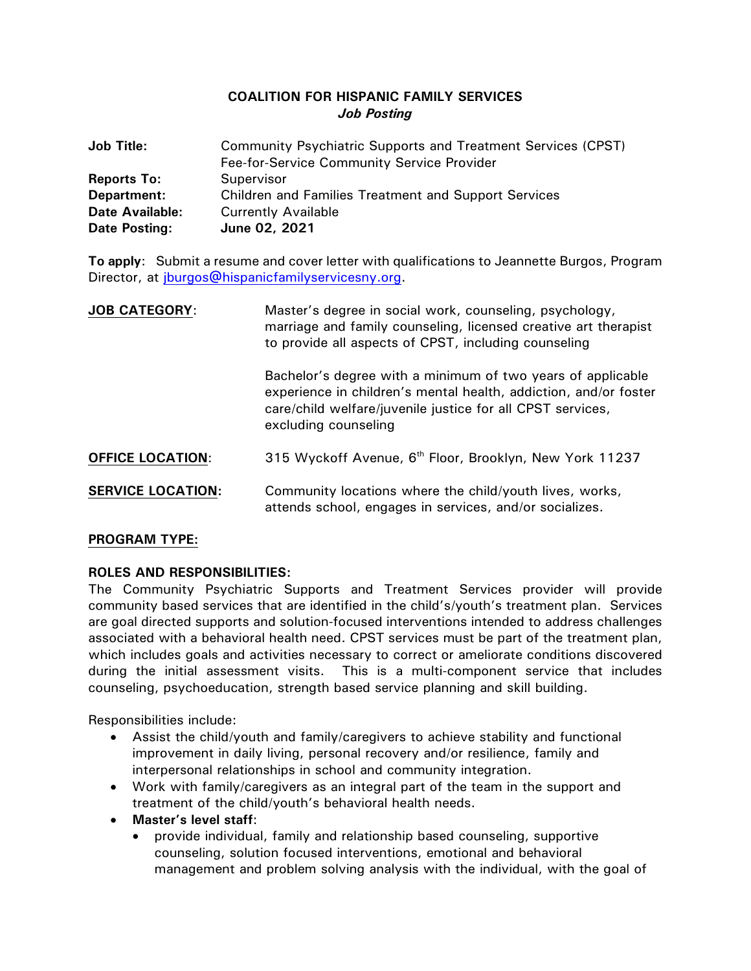# **COALITION FOR HISPANIC FAMILY SERVICES** *Job Posting*

| <b>Job Title:</b>      | Community Psychiatric Supports and Treatment Services (CPST) |
|------------------------|--------------------------------------------------------------|
|                        | Fee-for-Service Community Service Provider                   |
| <b>Reports To:</b>     | Supervisor                                                   |
| Department:            | <b>Children and Families Treatment and Support Services</b>  |
| <b>Date Available:</b> | <b>Currently Available</b>                                   |
| Date Posting:          | June 02, 2021                                                |

**To apply**: Submit a resume and cover letter with qualifications to Jeannette Burgos, Program Director, at [jburgos@hispanicfamilyservicesny.org.](mailto:jburgos@hispanicfamilyservicesny.org)

| <b>JOB CATEGORY:</b>     | Master's degree in social work, counseling, psychology,<br>marriage and family counseling, licensed creative art therapist<br>to provide all aspects of CPST, including counseling                                    |
|--------------------------|-----------------------------------------------------------------------------------------------------------------------------------------------------------------------------------------------------------------------|
|                          | Bachelor's degree with a minimum of two years of applicable<br>experience in children's mental health, addiction, and/or foster<br>care/child welfare/juvenile justice for all CPST services,<br>excluding counseling |
| <b>OFFICE LOCATION:</b>  | 315 Wyckoff Avenue, 6 <sup>th</sup> Floor, Brooklyn, New York 11237                                                                                                                                                   |
| <b>SERVICE LOCATION:</b> | Community locations where the child/youth lives, works,<br>attends school, engages in services, and/or socializes.                                                                                                    |

### **PROGRAM TYPE:**

### **ROLES AND RESPONSIBILITIES:**

The Community Psychiatric Supports and Treatment Services provider will provide community based services that are identified in the child's/youth's treatment plan. Services are goal directed supports and solution-focused interventions intended to address challenges associated with a behavioral health need. CPST services must be part of the treatment plan, which includes goals and activities necessary to correct or ameliorate conditions discovered during the initial assessment visits. This is a multi-component service that includes counseling, psychoeducation, strength based service planning and skill building.

Responsibilities include:

- Assist the child/youth and family/caregivers to achieve stability and functional improvement in daily living, personal recovery and/or resilience, family and interpersonal relationships in school and community integration.
- Work with family/caregivers as an integral part of the team in the support and treatment of the child/youth's behavioral health needs.
- **Master's level staff**:
	- provide individual, family and relationship based counseling, supportive counseling, solution focused interventions, emotional and behavioral management and problem solving analysis with the individual, with the goal of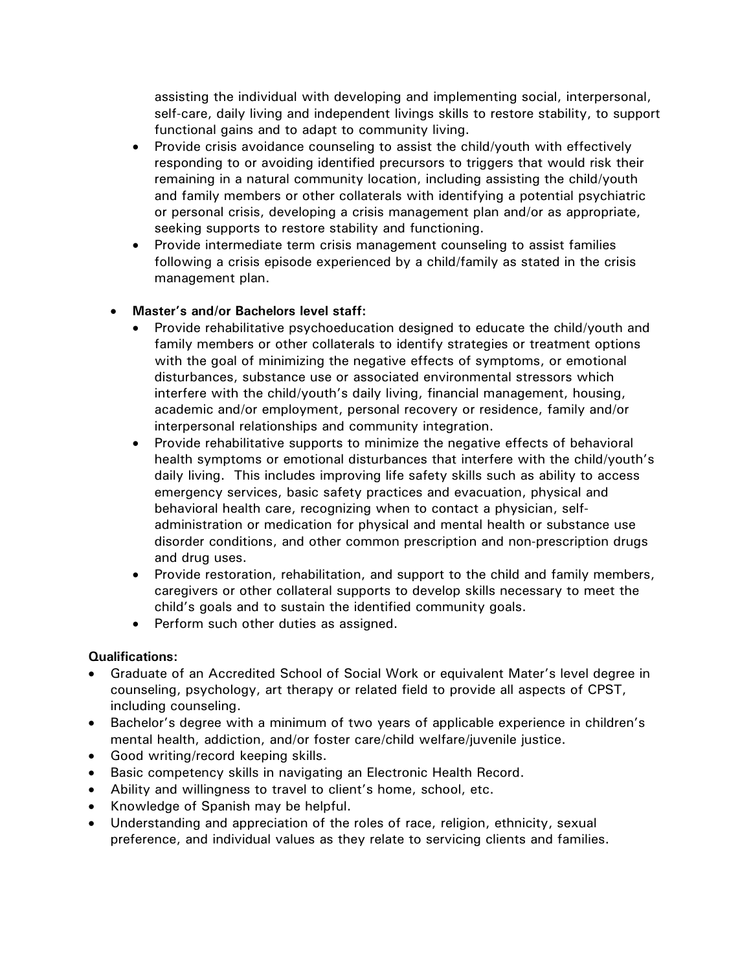assisting the individual with developing and implementing social, interpersonal, self-care, daily living and independent livings skills to restore stability, to support functional gains and to adapt to community living.

- Provide crisis avoidance counseling to assist the child/youth with effectively responding to or avoiding identified precursors to triggers that would risk their remaining in a natural community location, including assisting the child/youth and family members or other collaterals with identifying a potential psychiatric or personal crisis, developing a crisis management plan and/or as appropriate, seeking supports to restore stability and functioning.
- Provide intermediate term crisis management counseling to assist families following a crisis episode experienced by a child/family as stated in the crisis management plan.

# • **Master's and/or Bachelors level staff:**

- Provide rehabilitative psychoeducation designed to educate the child/youth and family members or other collaterals to identify strategies or treatment options with the goal of minimizing the negative effects of symptoms, or emotional disturbances, substance use or associated environmental stressors which interfere with the child/youth's daily living, financial management, housing, academic and/or employment, personal recovery or residence, family and/or interpersonal relationships and community integration.
- Provide rehabilitative supports to minimize the negative effects of behavioral health symptoms or emotional disturbances that interfere with the child/youth's daily living. This includes improving life safety skills such as ability to access emergency services, basic safety practices and evacuation, physical and behavioral health care, recognizing when to contact a physician, selfadministration or medication for physical and mental health or substance use disorder conditions, and other common prescription and non-prescription drugs and drug uses.
- Provide restoration, rehabilitation, and support to the child and family members, caregivers or other collateral supports to develop skills necessary to meet the child's goals and to sustain the identified community goals.
- Perform such other duties as assigned.

### **Qualifications:**

- Graduate of an Accredited School of Social Work or equivalent Mater's level degree in counseling, psychology, art therapy or related field to provide all aspects of CPST, including counseling.
- Bachelor's degree with a minimum of two years of applicable experience in children's mental health, addiction, and/or foster care/child welfare/juvenile justice.
- Good writing/record keeping skills.
- Basic competency skills in navigating an Electronic Health Record.
- Ability and willingness to travel to client's home, school, etc.
- Knowledge of Spanish may be helpful.
- Understanding and appreciation of the roles of race, religion, ethnicity, sexual preference, and individual values as they relate to servicing clients and families.